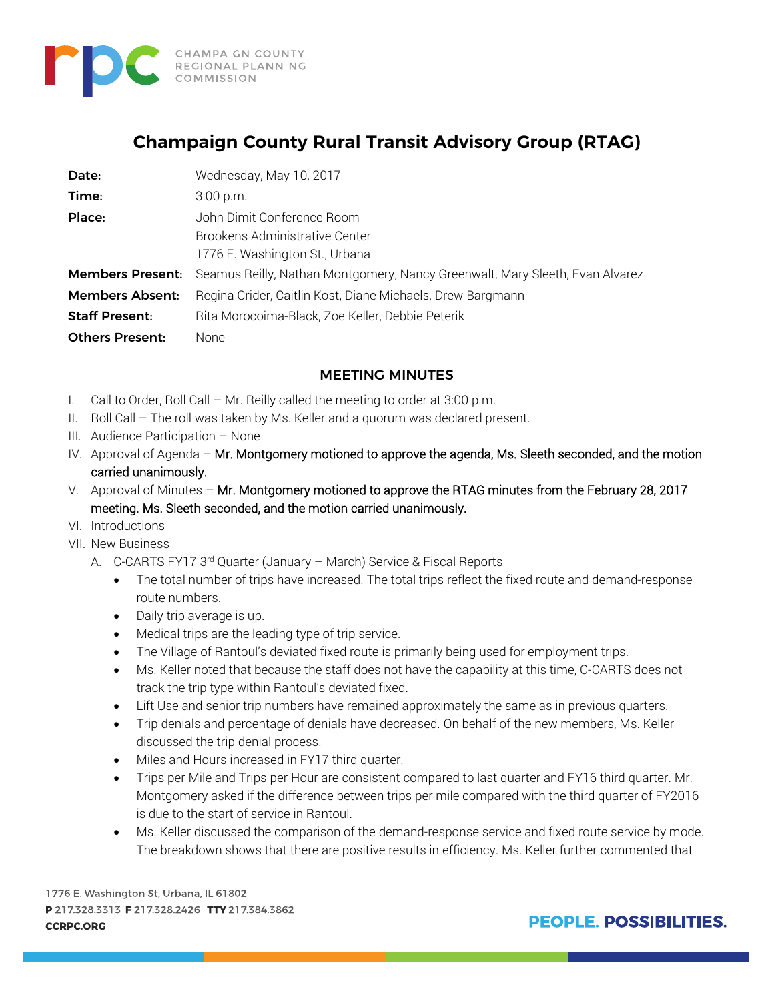

# **Champaign County Rural Transit Advisory Group (RTAG)**

| Date:                   | Wednesday, May 10, 2017                                                      |
|-------------------------|------------------------------------------------------------------------------|
| Time:                   | $3:00$ p.m.                                                                  |
| Place:                  | John Dimit Conference Room                                                   |
|                         | <b>Brookens Administrative Center</b>                                        |
|                         | 1776 E. Washington St., Urbana                                               |
| <b>Members Present:</b> | Seamus Reilly, Nathan Montgomery, Nancy Greenwalt, Mary Sleeth, Evan Alvarez |
| <b>Members Absent:</b>  | Regina Crider, Caitlin Kost, Diane Michaels, Drew Bargmann                   |
| <b>Staff Present:</b>   | Rita Morocoima-Black, Zoe Keller, Debbie Peterik                             |
| <b>Others Present:</b>  | None                                                                         |

### MEETING MINUTES

- I. Call to Order, Roll Call Mr. Reilly called the meeting to order at 3:00 p.m.
- II. Roll Call The roll was taken by Ms. Keller and a quorum was declared present.
- III. Audience Participation None
- IV. Approval of Agenda Mr. Montgomery motioned to approve the agenda, Ms. Sleeth seconded, and the motion carried unanimously.
- V. Approval of Minutes Mr. Montgomery motioned to approve the RTAG minutes from the February 28, 2017 meeting. Ms. Sleeth seconded, and the motion carried unanimously.
- VI. Introductions
- VII. New Business
	- A. C-CARTS FY17 3rd Quarter (January March) Service & Fiscal Reports
		- The total number of trips have increased. The total trips reflect the fixed route and demand-response route numbers.
		- Daily trip average is up.
		- Medical trips are the leading type of trip service.
		- The Village of Rantoul's deviated fixed route is primarily being used for employment trips.
		- Ms. Keller noted that because the staff does not have the capability at this time, C-CARTS does not track the trip type within Rantoul's deviated fixed.
		- Lift Use and senior trip numbers have remained approximately the same as in previous quarters.
		- Trip denials and percentage of denials have decreased. On behalf of the new members, Ms. Keller discussed the trip denial process.
		- Miles and Hours increased in FY17 third quarter.
		- Trips per Mile and Trips per Hour are consistent compared to last quarter and FY16 third quarter. Mr. Montgomery asked if the difference between trips per mile compared with the third quarter of FY2016 is due to the start of service in Rantoul.
		- Ms. Keller discussed the comparison of the demand-response service and fixed route service by mode. The breakdown shows that there are positive results in efficiency. Ms. Keller further commented that

1776 E. Washington St, Urbana, IL 61802 P 217.328.3313 F 217.328.2426 TTY 217.384.3862 **CCRPC.ORG**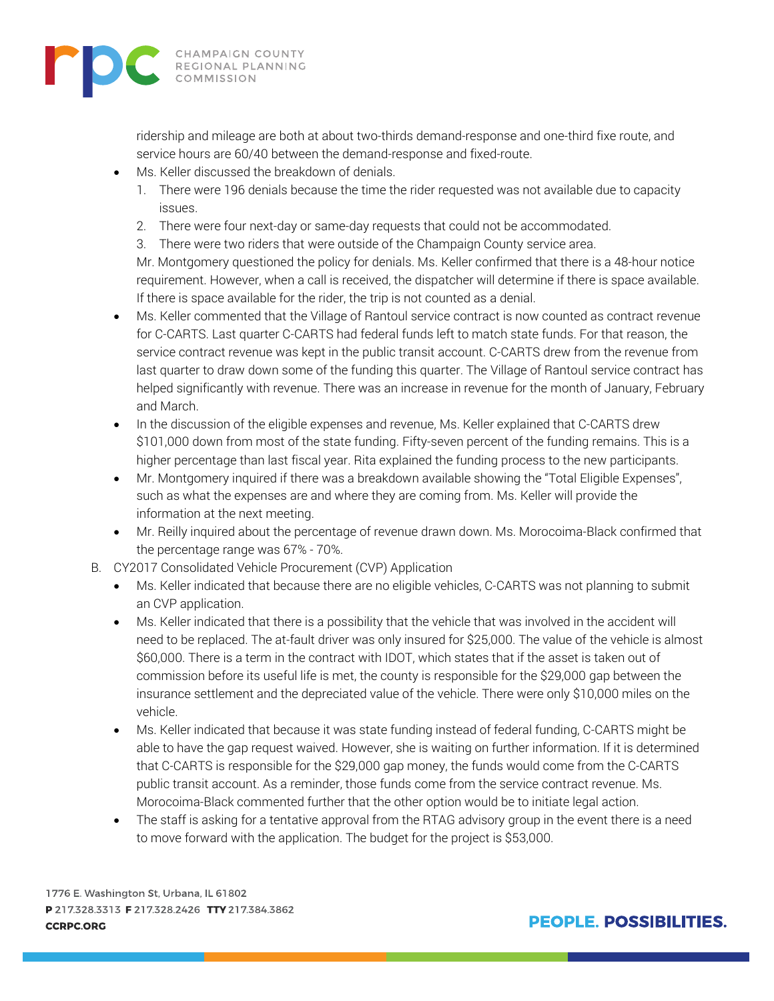

ridership and mileage are both at about two-thirds demand-response and one-third fixe route, and service hours are 60/40 between the demand-response and fixed-route.

- Ms. Keller discussed the breakdown of denials.
	- 1. There were 196 denials because the time the rider requested was not available due to capacity issues.
	- 2. There were four next-day or same-day requests that could not be accommodated.
	- 3. There were two riders that were outside of the Champaign County service area.

Mr. Montgomery questioned the policy for denials. Ms. Keller confirmed that there is a 48-hour notice requirement. However, when a call is received, the dispatcher will determine if there is space available. If there is space available for the rider, the trip is not counted as a denial.

- Ms. Keller commented that the Village of Rantoul service contract is now counted as contract revenue for C-CARTS. Last quarter C-CARTS had federal funds left to match state funds. For that reason, the service contract revenue was kept in the public transit account. C-CARTS drew from the revenue from last quarter to draw down some of the funding this quarter. The Village of Rantoul service contract has helped significantly with revenue. There was an increase in revenue for the month of January, February and March.
- In the discussion of the eligible expenses and revenue, Ms. Keller explained that C-CARTS drew \$101,000 down from most of the state funding. Fifty-seven percent of the funding remains. This is a higher percentage than last fiscal year. Rita explained the funding process to the new participants.
- Mr. Montgomery inquired if there was a breakdown available showing the "Total Eligible Expenses", such as what the expenses are and where they are coming from. Ms. Keller will provide the information at the next meeting.
- Mr. Reilly inquired about the percentage of revenue drawn down. Ms. Morocoima-Black confirmed that the percentage range was 67% - 70%.
- B. CY2017 Consolidated Vehicle Procurement (CVP) Application
	- Ms. Keller indicated that because there are no eligible vehicles, C-CARTS was not planning to submit an CVP application.
	- Ms. Keller indicated that there is a possibility that the vehicle that was involved in the accident will need to be replaced. The at-fault driver was only insured for \$25,000. The value of the vehicle is almost \$60,000. There is a term in the contract with IDOT, which states that if the asset is taken out of commission before its useful life is met, the county is responsible for the \$29,000 gap between the insurance settlement and the depreciated value of the vehicle. There were only \$10,000 miles on the vehicle.
	- Ms. Keller indicated that because it was state funding instead of federal funding, C-CARTS might be able to have the gap request waived. However, she is waiting on further information. If it is determined that C-CARTS is responsible for the \$29,000 gap money, the funds would come from the C-CARTS public transit account. As a reminder, those funds come from the service contract revenue. Ms. Morocoima-Black commented further that the other option would be to initiate legal action.
	- The staff is asking for a tentative approval from the RTAG advisory group in the event there is a need to move forward with the application. The budget for the project is \$53,000.

1776 E. Washington St, Urbana, IL 61802 P 217.328.3313 F 217.328.2426 TTY 217.384.3862 **CCRPC.ORG**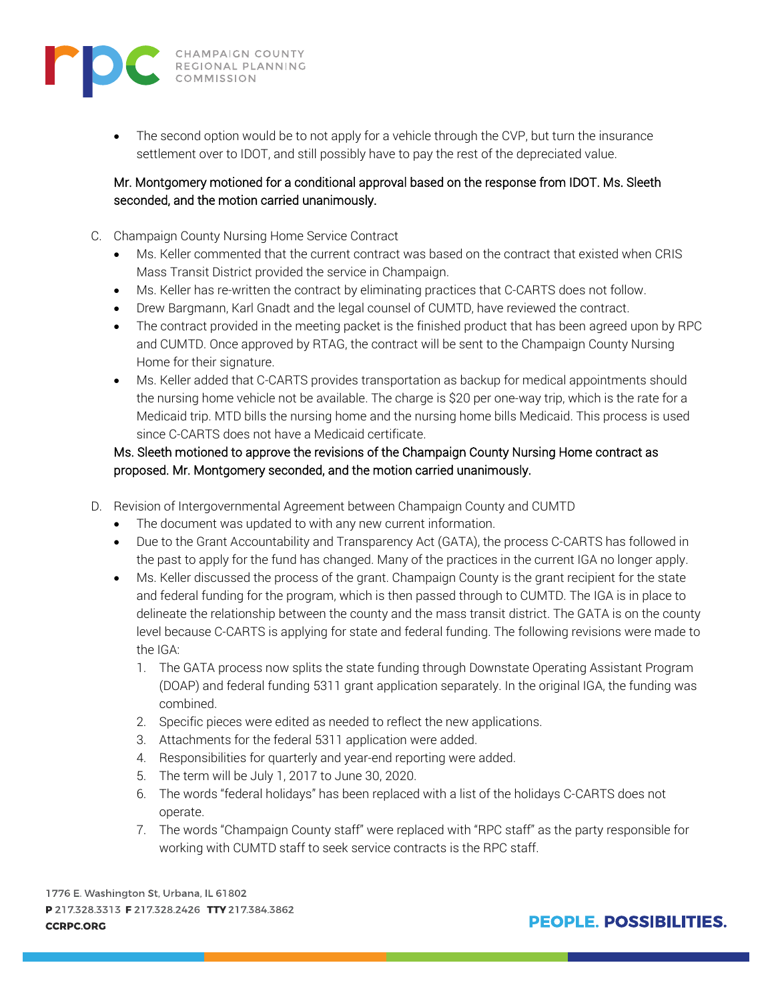

The second option would be to not apply for a vehicle through the CVP, but turn the insurance settlement over to IDOT, and still possibly have to pay the rest of the depreciated value.

## Mr. Montgomery motioned for a conditional approval based on the response from IDOT. Ms. Sleeth seconded, and the motion carried unanimously.

- C. Champaign County Nursing Home Service Contract
	- Ms. Keller commented that the current contract was based on the contract that existed when CRIS Mass Transit District provided the service in Champaign.
	- Ms. Keller has re-written the contract by eliminating practices that C-CARTS does not follow.
	- Drew Bargmann, Karl Gnadt and the legal counsel of CUMTD, have reviewed the contract.
	- The contract provided in the meeting packet is the finished product that has been agreed upon by RPC and CUMTD. Once approved by RTAG, the contract will be sent to the Champaign County Nursing Home for their signature.
	- Ms. Keller added that C-CARTS provides transportation as backup for medical appointments should the nursing home vehicle not be available. The charge is \$20 per one-way trip, which is the rate for a Medicaid trip. MTD bills the nursing home and the nursing home bills Medicaid. This process is used since C-CARTS does not have a Medicaid certificate.

## Ms. Sleeth motioned to approve the revisions of the Champaign County Nursing Home contract as proposed. Mr. Montgomery seconded, and the motion carried unanimously.

- D. Revision of Intergovernmental Agreement between Champaign County and CUMTD
	- The document was updated to with any new current information.
	- Due to the Grant Accountability and Transparency Act (GATA), the process C-CARTS has followed in the past to apply for the fund has changed. Many of the practices in the current IGA no longer apply.
	- Ms. Keller discussed the process of the grant. Champaign County is the grant recipient for the state and federal funding for the program, which is then passed through to CUMTD. The IGA is in place to delineate the relationship between the county and the mass transit district. The GATA is on the county level because C-CARTS is applying for state and federal funding. The following revisions were made to the IGA:
		- 1. The GATA process now splits the state funding through Downstate Operating Assistant Program (DOAP) and federal funding 5311 grant application separately. In the original IGA, the funding was combined.
		- 2. Specific pieces were edited as needed to reflect the new applications.
		- 3. Attachments for the federal 5311 application were added.
		- 4. Responsibilities for quarterly and year-end reporting were added.
		- 5. The term will be July 1, 2017 to June 30, 2020.
		- 6. The words "federal holidays" has been replaced with a list of the holidays C-CARTS does not operate.
		- 7. The words "Champaign County staff" were replaced with "RPC staff" as the party responsible for working with CUMTD staff to seek service contracts is the RPC staff.

1776 E. Washington St, Urbana, IL 61802 P 217.328.3313 F 217.328.2426 TTY 217.384.3862 **CCRPC.ORG**